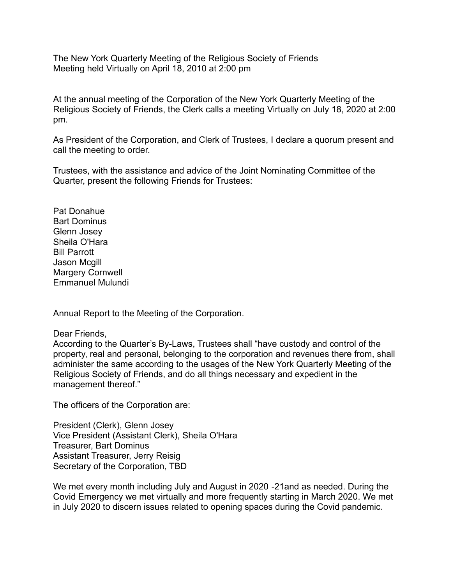The New York Quarterly Meeting of the Religious Society of Friends Meeting held Virtually on April 18, 2010 at 2:00 pm

At the annual meeting of the Corporation of the New York Quarterly Meeting of the Religious Society of Friends, the Clerk calls a meeting Virtually on July 18, 2020 at 2:00 pm.

As President of the Corporation, and Clerk of Trustees, I declare a quorum present and call the meeting to order.

Trustees, with the assistance and advice of the Joint Nominating Committee of the Quarter, present the following Friends for Trustees:

Pat Donahue Bart Dominus Glenn Josey Sheila O'Hara Bill Parrott Jason Mcgill Margery Cornwell Emmanuel Mulundi

Annual Report to the Meeting of the Corporation.

Dear Friends,

According to the Quarter's By-Laws, Trustees shall "have custody and control of the property, real and personal, belonging to the corporation and revenues there from, shall administer the same according to the usages of the New York Quarterly Meeting of the Religious Society of Friends, and do all things necessary and expedient in the management thereof."

The officers of the Corporation are:

President (Clerk), Glenn Josey Vice President (Assistant Clerk), Sheila O'Hara Treasurer, Bart Dominus Assistant Treasurer, Jerry Reisig Secretary of the Corporation, TBD

We met every month including July and August in 2020 -21and as needed. During the Covid Emergency we met virtually and more frequently starting in March 2020. We met in July 2020 to discern issues related to opening spaces during the Covid pandemic.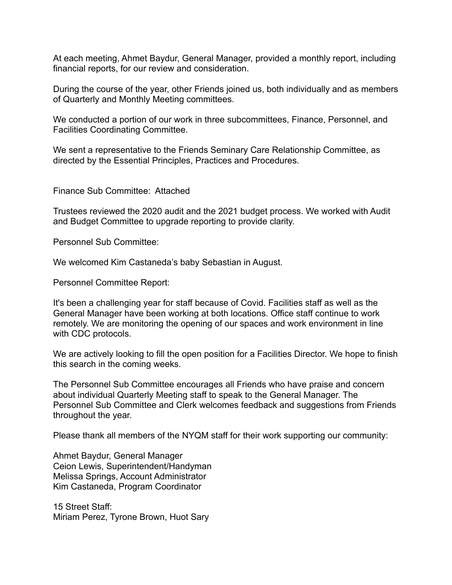At each meeting, Ahmet Baydur, General Manager, provided a monthly report, including financial reports, for our review and consideration.

During the course of the year, other Friends joined us, both individually and as members of Quarterly and Monthly Meeting committees.

We conducted a portion of our work in three subcommittees, Finance, Personnel, and Facilities Coordinating Committee.

We sent a representative to the Friends Seminary Care Relationship Committee, as directed by the Essential Principles, Practices and Procedures.

Finance Sub Committee: Attached

Trustees reviewed the 2020 audit and the 2021 budget process. We worked with Audit and Budget Committee to upgrade reporting to provide clarity.

Personnel Sub Committee:

We welcomed Kim Castaneda's baby Sebastian in August.

Personnel Committee Report:

It's been a challenging year for staff because of Covid. Facilities staff as well as the General Manager have been working at both locations. Office staff continue to work remotely. We are monitoring the opening of our spaces and work environment in line with CDC protocols.

We are actively looking to fill the open position for a Facilities Director. We hope to finish this search in the coming weeks.

The Personnel Sub Committee encourages all Friends who have praise and concern about individual Quarterly Meeting staff to speak to the General Manager. The Personnel Sub Committee and Clerk welcomes feedback and suggestions from Friends throughout the year.

Please thank all members of the NYQM staff for their work supporting our community:

Ahmet Baydur, General Manager Ceion Lewis, Superintendent/Handyman Melissa Springs, Account Administrator Kim Castaneda, Program Coordinator

15 Street Staff: Miriam Perez, Tyrone Brown, Huot Sary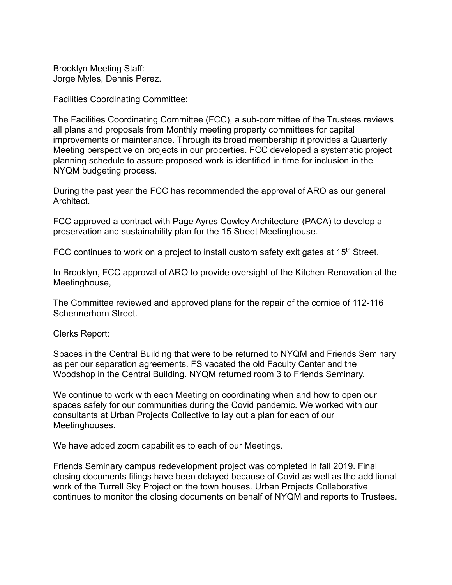Brooklyn Meeting Staff: Jorge Myles, Dennis Perez.

Facilities Coordinating Committee:

The Facilities Coordinating Committee (FCC), a sub-committee of the Trustees reviews all plans and proposals from Monthly meeting property committees for capital improvements or maintenance. Through its broad membership it provides a Quarterly Meeting perspective on projects in our properties. FCC developed a systematic project planning schedule to assure proposed work is identified in time for inclusion in the NYQM budgeting process.

During the past year the FCC has recommended the approval of ARO as our general Architect.

FCC approved a contract with Page Ayres Cowley Architecture (PACA) to develop a preservation and sustainability plan for the 15 Street Meetinghouse.

FCC continues to work on a project to install custom safety exit gates at  $15<sup>th</sup>$  Street.

In Brooklyn, FCC approval of ARO to provide oversight of the Kitchen Renovation at the Meetinghouse,

The Committee reviewed and approved plans for the repair of the cornice of 112-116 Schermerhorn Street.

Clerks Report:

Spaces in the Central Building that were to be returned to NYQM and Friends Seminary as per our separation agreements. FS vacated the old Faculty Center and the Woodshop in the Central Building. NYQM returned room 3 to Friends Seminary.

We continue to work with each Meeting on coordinating when and how to open our spaces safely for our communities during the Covid pandemic. We worked with our consultants at Urban Projects Collective to lay out a plan for each of our Meetinghouses.

We have added zoom capabilities to each of our Meetings.

Friends Seminary campus redevelopment project was completed in fall 2019. Final closing documents filings have been delayed because of Covid as well as the additional work of the Turrell Sky Project on the town houses. Urban Projects Collaborative continues to monitor the closing documents on behalf of NYQM and reports to Trustees.